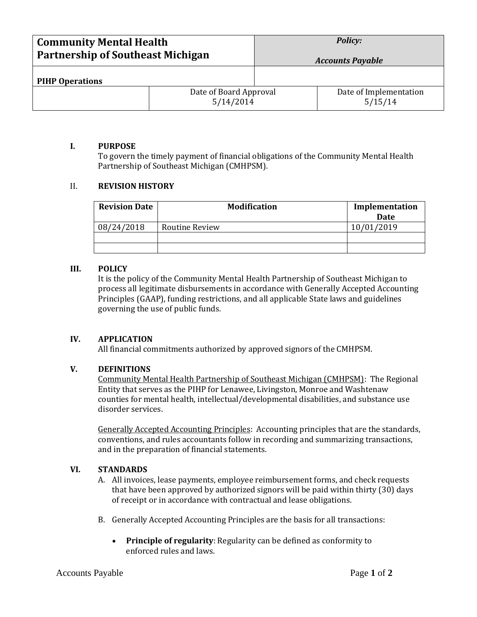| <b>Community Mental Health</b><br><b>Partnership of Southeast Michigan</b> |                                     | <b>Policy:</b><br><b>Accounts Payable</b> |                                   |
|----------------------------------------------------------------------------|-------------------------------------|-------------------------------------------|-----------------------------------|
| <b>PIHP Operations</b>                                                     |                                     |                                           |                                   |
|                                                                            | Date of Board Approval<br>5/14/2014 |                                           | Date of Implementation<br>5/15/14 |

## **I. PURPOSE**

To govern the timely payment of financial obligations of the Community Mental Health Partnership of Southeast Michigan (CMHPSM).

# II. **REVISION HISTORY**

| <b>Revision Date</b> | <b>Modification</b>   | Implementation<br>Date |
|----------------------|-----------------------|------------------------|
| 08/24/2018           | <b>Routine Review</b> | 10/01/2019             |
|                      |                       |                        |
|                      |                       |                        |

## **III. POLICY**

It is the policy of the Community Mental Health Partnership of Southeast Michigan to process all legitimate disbursements in accordance with Generally Accepted Accounting Principles (GAAP), funding restrictions, and all applicable State laws and guidelines governing the use of public funds.

### **IV. APPLICATION**

All financial commitments authorized by approved signors of the CMHPSM.

# **V. DEFINITIONS**

Community Mental Health Partnership of Southeast Michigan (CMHPSM): The Regional Entity that serves as the PIHP for Lenawee, Livingston, Monroe and Washtenaw counties for mental health, intellectual/developmental disabilities, and substance use disorder services.

Generally Accepted Accounting Principles:Accounting principles that are the standards, conventions, and rules accountants follow in recording and summarizing transactions, and in the preparation of financial statements.

# **VI. STANDARDS**

- A. All invoices, lease payments, employee reimbursement forms, and check requests that have been approved by authorized signors will be paid within thirty (30) days of receipt or in accordance with contractual and lease obligations.
- B. Generally Accepted Accounting Principles are the basis for all transactions:
	- **Principle of regularity**: Regularity can be defined as conformity to enforced rules and laws.